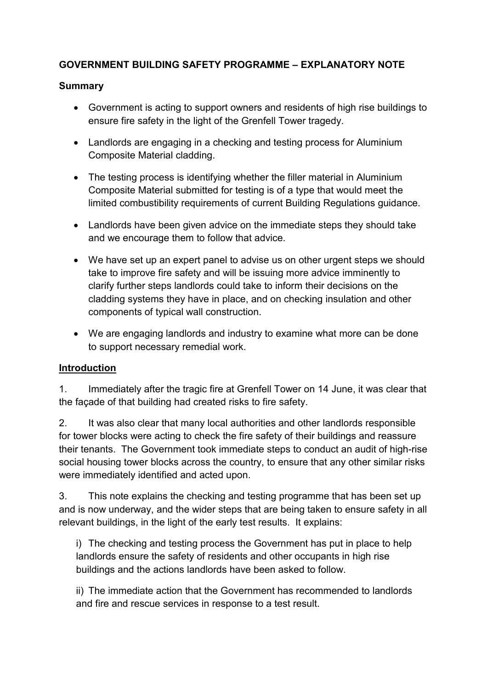# **GOVERNMENT BUILDING SAFETY PROGRAMME – EXPLANATORY NOTE**

### **Summary**

- Government is acting to support owners and residents of high rise buildings to ensure fire safety in the light of the Grenfell Tower tragedy.
- Landlords are engaging in a checking and testing process for Aluminium Composite Material cladding.
- The testing process is identifying whether the filler material in Aluminium Composite Material submitted for testing is of a type that would meet the limited combustibility requirements of current Building Regulations guidance.
- Landlords have been given advice on the immediate steps they should take and we encourage them to follow that advice.
- We have set up an expert panel to advise us on other urgent steps we should take to improve fire safety and will be issuing more advice imminently to clarify further steps landlords could take to inform their decisions on the cladding systems they have in place, and on checking insulation and other components of typical wall construction.
- We are engaging landlords and industry to examine what more can be done to support necessary remedial work.

## **Introduction**

1. Immediately after the tragic fire at Grenfell Tower on 14 June, it was clear that the façade of that building had created risks to fire safety.

2. It was also clear that many local authorities and other landlords responsible for tower blocks were acting to check the fire safety of their buildings and reassure their tenants. The Government took immediate steps to conduct an audit of high-rise social housing tower blocks across the country, to ensure that any other similar risks were immediately identified and acted upon.

3. This note explains the checking and testing programme that has been set up and is now underway, and the wider steps that are being taken to ensure safety in all relevant buildings, in the light of the early test results. It explains:

i) The checking and testing process the Government has put in place to help landlords ensure the safety of residents and other occupants in high rise buildings and the actions landlords have been asked to follow.

ii) The immediate action that the Government has recommended to landlords and fire and rescue services in response to a test result.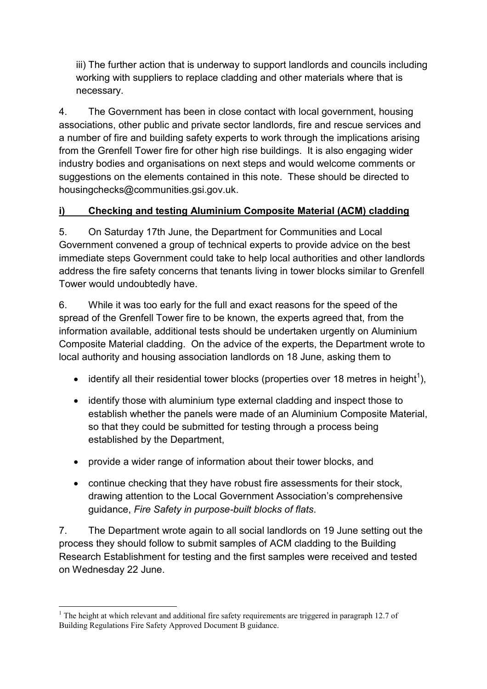iii) The further action that is underway to support landlords and councils including working with suppliers to replace cladding and other materials where that is necessary.

4. The Government has been in close contact with local government, housing associations, other public and private sector landlords, fire and rescue services and a number of fire and building safety experts to work through the implications arising from the Grenfell Tower fire for other high rise buildings. It is also engaging wider industry bodies and organisations on next steps and would welcome comments or suggestions on the elements contained in this note. These should be directed to housingchecks@communities.gsi.gov.uk.

# **i) Checking and testing Aluminium Composite Material (ACM) cladding**

5. On Saturday 17th June, the Department for Communities and Local Government convened a group of technical experts to provide advice on the best immediate steps Government could take to help local authorities and other landlords address the fire safety concerns that tenants living in tower blocks similar to Grenfell Tower would undoubtedly have.

6. While it was too early for the full and exact reasons for the speed of the spread of the Grenfell Tower fire to be known, the experts agreed that, from the information available, additional tests should be undertaken urgently on Aluminium Composite Material cladding. On the advice of the experts, the Department wrote to local authority and housing association landlords on 18 June, asking them to

- identify all their residential tower blocks (properties over 18 metres in height<sup>1</sup>),
- identify those with aluminium type external cladding and inspect those to establish whether the panels were made of an Aluminium Composite Material, so that they could be submitted for testing through a process being established by the Department,
- provide a wider range of information about their tower blocks, and
- continue checking that they have robust fire assessments for their stock, drawing attention to the Local Government Association's comprehensive guidance, *Fire Safety in purpose-built blocks of flats*.

7. The Department wrote again to all social landlords on 19 June setting out the process they should follow to submit samples of ACM cladding to the Building Research Establishment for testing and the first samples were received and tested on Wednesday 22 June.

 $\overline{a}$ <sup>1</sup> The height at which relevant and additional fire safety requirements are triggered in paragraph 12.7 of Building Regulations Fire Safety Approved Document B guidance.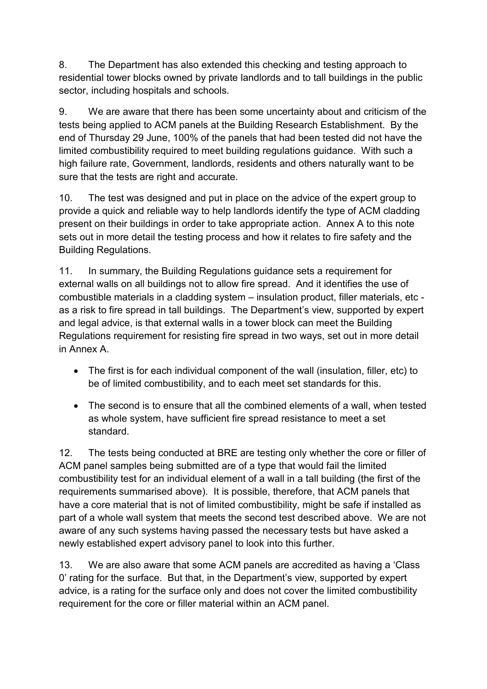8. The Department has also extended this checking and testing approach to residential tower blocks owned by private landlords and to tall buildings in the public sector, including hospitals and schools.

9. We are aware that there has been some uncertainty about and criticism of the tests being applied to ACM panels at the Building Research Establishment. By the end of Thursday 29 June, 100% of the panels that had been tested did not have the limited combustibility required to meet building regulations guidance. With such a high failure rate, Government, landlords, residents and others naturally want to be sure that the tests are right and accurate.

10. The test was designed and put in place on the advice of the expert group to provide a quick and reliable way to help landlords identify the type of ACM cladding present on their buildings in order to take appropriate action. Annex A to this note sets out in more detail the testing process and how it relates to fire safety and the Building Regulations.

11. In summary, the Building Regulations guidance sets a requirement for external walls on all buildings not to allow fire spread. And it identifies the use of combustible materials in a cladding system – insulation product, filler materials, etc as a risk to fire spread in tall buildings. The Department's view, supported by expert and legal advice, is that external walls in a tower block can meet the Building Regulations requirement for resisting fire spread in two ways, set out in more detail in Annex A.

- The first is for each individual component of the wall (insulation, filler, etc) to be of limited combustibility, and to each meet set standards for this.
- The second is to ensure that all the combined elements of a wall, when tested as whole system, have sufficient fire spread resistance to meet a set standard.

12. The tests being conducted at BRE are testing only whether the core or filler of ACM panel samples being submitted are of a type that would fail the limited combustibility test for an individual element of a wall in a tall building (the first of the requirements summarised above). It is possible, therefore, that ACM panels that have a core material that is not of limited combustibility, might be safe if installed as part of a whole wall system that meets the second test described above. We are not aware of any such systems having passed the necessary tests but have asked a newly established expert advisory panel to look into this further.

13. We are also aware that some ACM panels are accredited as having a 'Class 0' rating for the surface. But that, in the Department's view, supported by expert advice, is a rating for the surface only and does not cover the limited combustibility requirement for the core or filler material within an ACM panel.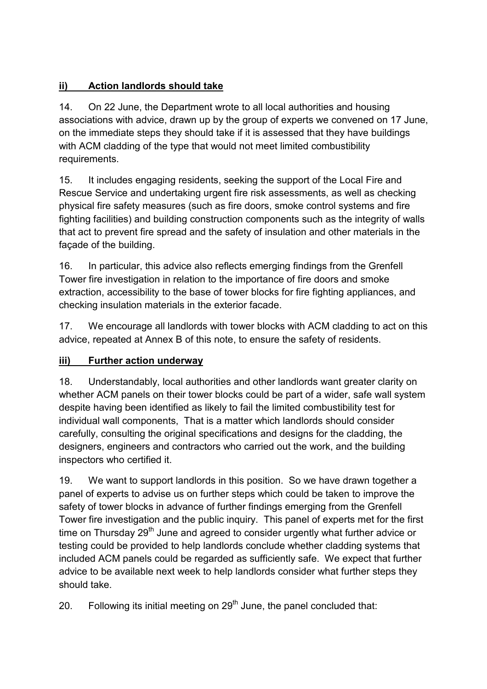# **ii) Action landlords should take**

14. On 22 June, the Department wrote to all local authorities and housing associations with advice, drawn up by the group of experts we convened on 17 June, on the immediate steps they should take if it is assessed that they have buildings with ACM cladding of the type that would not meet limited combustibility requirements.

15. It includes engaging residents, seeking the support of the Local Fire and Rescue Service and undertaking urgent fire risk assessments, as well as checking physical fire safety measures (such as fire doors, smoke control systems and fire fighting facilities) and building construction components such as the integrity of walls that act to prevent fire spread and the safety of insulation and other materials in the façade of the building.

16. In particular, this advice also reflects emerging findings from the Grenfell Tower fire investigation in relation to the importance of fire doors and smoke extraction, accessibility to the base of tower blocks for fire fighting appliances, and checking insulation materials in the exterior facade.

17. We encourage all landlords with tower blocks with ACM cladding to act on this advice, repeated at Annex B of this note, to ensure the safety of residents.

# **iii) Further action underway**

18. Understandably, local authorities and other landlords want greater clarity on whether ACM panels on their tower blocks could be part of a wider, safe wall system despite having been identified as likely to fail the limited combustibility test for individual wall components, That is a matter which landlords should consider carefully, consulting the original specifications and designs for the cladding, the designers, engineers and contractors who carried out the work, and the building inspectors who certified it.

19. We want to support landlords in this position. So we have drawn together a panel of experts to advise us on further steps which could be taken to improve the safety of tower blocks in advance of further findings emerging from the Grenfell Tower fire investigation and the public inquiry. This panel of experts met for the first time on Thursday  $29<sup>th</sup>$  June and agreed to consider urgently what further advice or testing could be provided to help landlords conclude whether cladding systems that included ACM panels could be regarded as sufficiently safe. We expect that further advice to be available next week to help landlords consider what further steps they should take.

20. Following its initial meeting on  $29<sup>th</sup>$  June, the panel concluded that: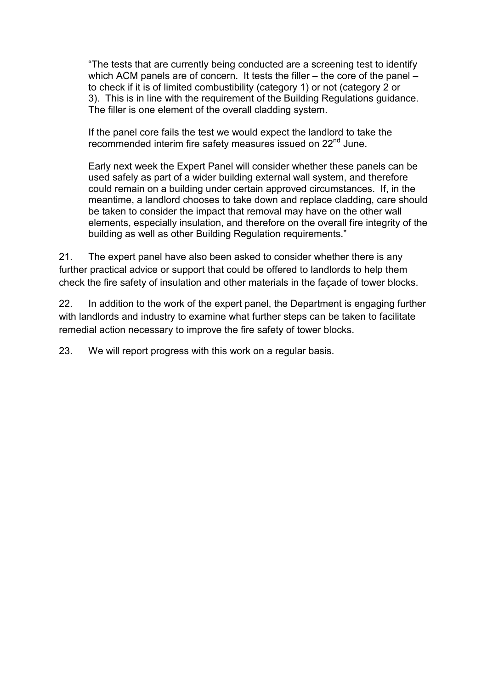"The tests that are currently being conducted are a screening test to identify which ACM panels are of concern. It tests the filler – the core of the panel – to check if it is of limited combustibility (category 1) or not (category 2 or 3). This is in line with the requirement of the Building Regulations guidance. The filler is one element of the overall cladding system.

If the panel core fails the test we would expect the landlord to take the recommended interim fire safety measures issued on 22<sup>nd</sup> June.

Early next week the Expert Panel will consider whether these panels can be used safely as part of a wider building external wall system, and therefore could remain on a building under certain approved circumstances. If, in the meantime, a landlord chooses to take down and replace cladding, care should be taken to consider the impact that removal may have on the other wall elements, especially insulation, and therefore on the overall fire integrity of the building as well as other Building Regulation requirements."

21. The expert panel have also been asked to consider whether there is any further practical advice or support that could be offered to landlords to help them check the fire safety of insulation and other materials in the façade of tower blocks.

22. In addition to the work of the expert panel, the Department is engaging further with landlords and industry to examine what further steps can be taken to facilitate remedial action necessary to improve the fire safety of tower blocks.

23. We will report progress with this work on a regular basis.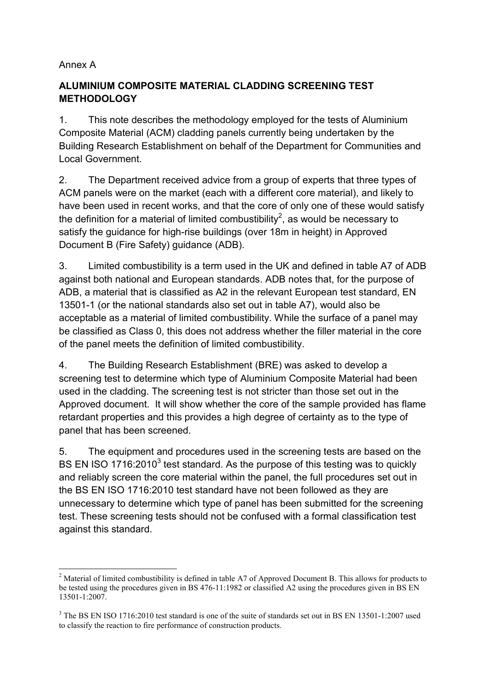### Annex A

 $\overline{a}$ 

# **ALUMINIUM COMPOSITE MATERIAL CLADDING SCREENING TEST METHODOLOGY**

1. This note describes the methodology employed for the tests of Aluminium Composite Material (ACM) cladding panels currently being undertaken by the Building Research Establishment on behalf of the Department for Communities and Local Government.

2. The Department received advice from a group of experts that three types of ACM panels were on the market (each with a different core material), and likely to have been used in recent works, and that the core of only one of these would satisfy the definition for a material of limited combustibility $^2$ , as would be necessary to satisfy the guidance for high-rise buildings (over 18m in height) in Approved Document B (Fire Safety) guidance (ADB).

3. Limited combustibility is a term used in the UK and defined in table A7 of ADB against both national and European standards. ADB notes that, for the purpose of ADB, a material that is classified as A2 in the relevant European test standard, EN 13501-1 (or the national standards also set out in table A7), would also be acceptable as a material of limited combustibility. While the surface of a panel may be classified as Class 0, this does not address whether the filler material in the core of the panel meets the definition of limited combustibility.

4. The Building Research Establishment (BRE) was asked to develop a screening test to determine which type of Aluminium Composite Material had been used in the cladding. The screening test is not stricter than those set out in the Approved document. It will show whether the core of the sample provided has flame retardant properties and this provides a high degree of certainty as to the type of panel that has been screened.

5. The equipment and procedures used in the screening tests are based on the BS EN ISO 1716:2010<sup>3</sup> test standard. As the purpose of this testing was to quickly and reliably screen the core material within the panel, the full procedures set out in the BS EN ISO 1716:2010 test standard have not been followed as they are unnecessary to determine which type of panel has been submitted for the screening test. These screening tests should not be confused with a formal classification test against this standard.

<sup>&</sup>lt;sup>2</sup> Material of limited combustibility is defined in table A7 of Approved Document B. This allows for products to be tested using the procedures given in BS 476-11:1982 or classified A2 using the procedures given in BS EN 13501-1:2007.

<sup>&</sup>lt;sup>3</sup> The BS EN ISO 1716:2010 test standard is one of the suite of standards set out in BS EN 13501-1:2007 used to classify the reaction to fire performance of construction products.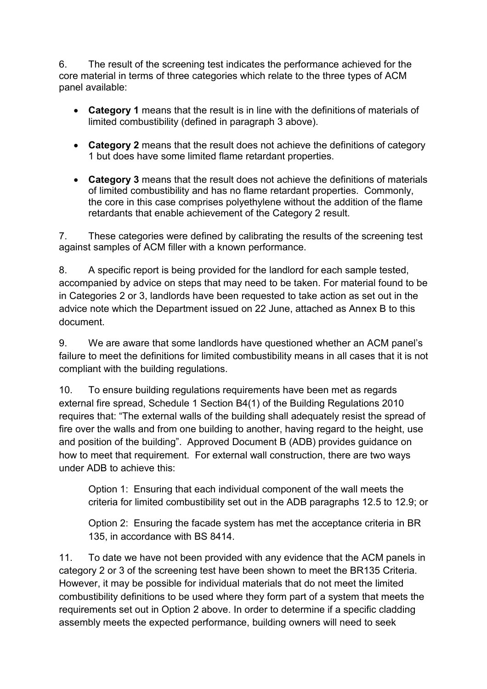6. The result of the screening test indicates the performance achieved for the core material in terms of three categories which relate to the three types of ACM panel available:

- **Category 1** means that the result is in line with the definitions of materials of limited combustibility (defined in paragraph 3 above).
- **Category 2** means that the result does not achieve the definitions of category 1 but does have some limited flame retardant properties.
- **Category 3** means that the result does not achieve the definitions of materials of limited combustibility and has no flame retardant properties. Commonly, the core in this case comprises polyethylene without the addition of the flame retardants that enable achievement of the Category 2 result.

7. These categories were defined by calibrating the results of the screening test against samples of ACM filler with a known performance.

8. A specific report is being provided for the landlord for each sample tested, accompanied by advice on steps that may need to be taken. For material found to be in Categories 2 or 3, landlords have been requested to take action as set out in the advice note which the Department issued on 22 June, attached as Annex B to this document.

9. We are aware that some landlords have questioned whether an ACM panel's failure to meet the definitions for limited combustibility means in all cases that it is not compliant with the building regulations.

10. To ensure building regulations requirements have been met as regards external fire spread, Schedule 1 Section B4(1) of the Building Regulations 2010 requires that: "The external walls of the building shall adequately resist the spread of fire over the walls and from one building to another, having regard to the height, use and position of the building". Approved Document B (ADB) provides guidance on how to meet that requirement. For external wall construction, there are two ways under ADB to achieve this:

Option 1: Ensuring that each individual component of the wall meets the criteria for limited combustibility set out in the ADB paragraphs 12.5 to 12.9; or

Option 2: Ensuring the facade system has met the acceptance criteria in BR 135, in accordance with BS 8414.

11. To date we have not been provided with any evidence that the ACM panels in category 2 or 3 of the screening test have been shown to meet the BR135 Criteria. However, it may be possible for individual materials that do not meet the limited combustibility definitions to be used where they form part of a system that meets the requirements set out in Option 2 above. In order to determine if a specific cladding assembly meets the expected performance, building owners will need to seek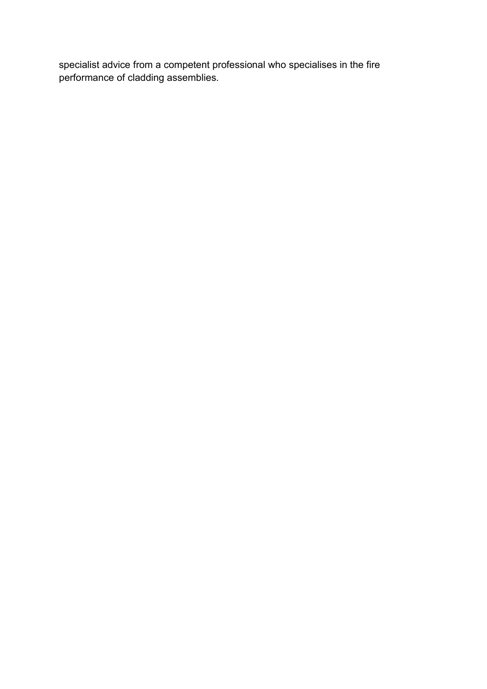specialist advice from a competent professional who specialises in the fire performance of cladding assemblies.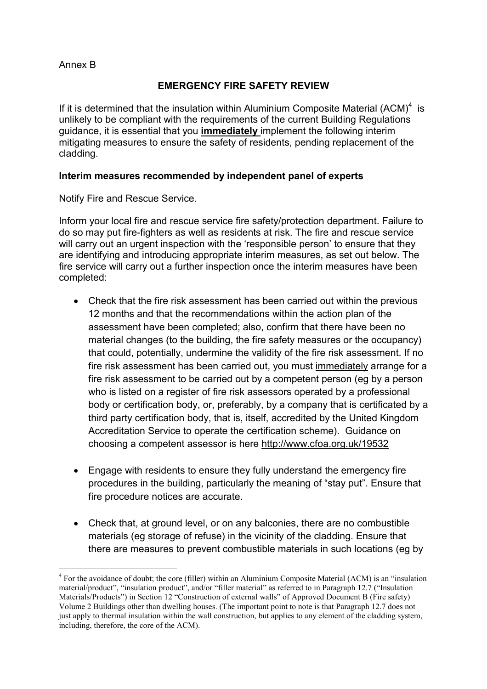### Annex B

 $\overline{a}$ 

### **EMERGENCY FIRE SAFETY REVIEW**

If it is determined that the insulation within Aluminium Composite Material  $(ACM)^4$  is unlikely to be compliant with the requirements of the current Building Regulations guidance, it is essential that you **immediately** implement the following interim mitigating measures to ensure the safety of residents, pending replacement of the cladding.

#### **Interim measures recommended by independent panel of experts**

Notify Fire and Rescue Service.

Inform your local fire and rescue service fire safety/protection department. Failure to do so may put fire-fighters as well as residents at risk. The fire and rescue service will carry out an urgent inspection with the 'responsible person' to ensure that they are identifying and introducing appropriate interim measures, as set out below. The fire service will carry out a further inspection once the interim measures have been completed:

- Check that the fire risk assessment has been carried out within the previous 12 months and that the recommendations within the action plan of the assessment have been completed; also, confirm that there have been no material changes (to the building, the fire safety measures or the occupancy) that could, potentially, undermine the validity of the fire risk assessment. If no fire risk assessment has been carried out, you must immediately arrange for a fire risk assessment to be carried out by a competent person (eg by a person who is listed on a register of fire risk assessors operated by a professional body or certification body, or, preferably, by a company that is certificated by a third party certification body, that is, itself, accredited by the United Kingdom Accreditation Service to operate the certification scheme). Guidance on choosing a competent assessor is here <http://www.cfoa.org.uk/19532>
- Engage with residents to ensure they fully understand the emergency fire procedures in the building, particularly the meaning of "stay put". Ensure that fire procedure notices are accurate.
- Check that, at ground level, or on any balconies, there are no combustible materials (eg storage of refuse) in the vicinity of the cladding. Ensure that there are measures to prevent combustible materials in such locations (eg by

<sup>&</sup>lt;sup>4</sup> For the avoidance of doubt; the core (filler) within an Aluminium Composite Material (ACM) is an "insulation material/product", "insulation product", and/or "filler material" as referred to in Paragraph 12.7 ("Insulation Materials/Products") in Section 12 "Construction of external walls" of Approved Document B (Fire safety) Volume 2 Buildings other than dwelling houses. (The important point to note is that Paragraph 12.7 does not just apply to thermal insulation within the wall construction, but applies to any element of the cladding system, including, therefore, the core of the ACM).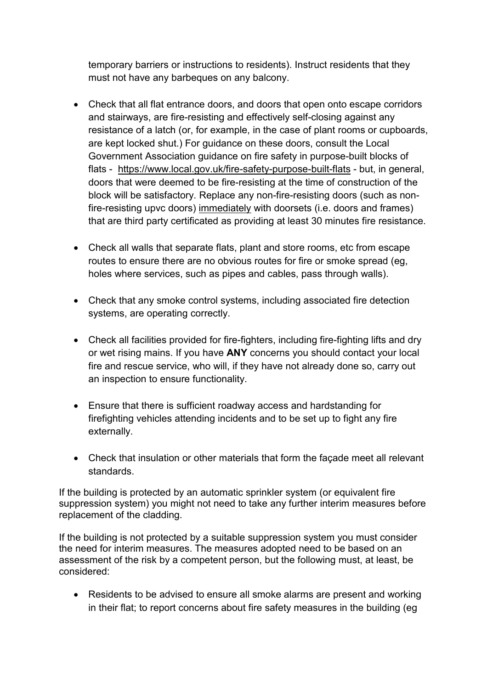temporary barriers or instructions to residents). Instruct residents that they must not have any barbeques on any balcony.

- Check that all flat entrance doors, and doors that open onto escape corridors and stairways, are fire-resisting and effectively self-closing against any resistance of a latch (or, for example, in the case of plant rooms or cupboards, are kept locked shut.) For guidance on these doors, consult the Local Government Association guidance on fire safety in purpose-built blocks of flats - <https://www.local.gov.uk/fire-safety-purpose-built-flats> - but, in general, doors that were deemed to be fire-resisting at the time of construction of the block will be satisfactory. Replace any non-fire-resisting doors (such as nonfire-resisting upvc doors) immediately with doorsets (i.e. doors and frames) that are third party certificated as providing at least 30 minutes fire resistance.
- Check all walls that separate flats, plant and store rooms, etc from escape routes to ensure there are no obvious routes for fire or smoke spread (eg, holes where services, such as pipes and cables, pass through walls).
- Check that any smoke control systems, including associated fire detection systems, are operating correctly.
- Check all facilities provided for fire-fighters, including fire-fighting lifts and dry or wet rising mains. If you have **ANY** concerns you should contact your local fire and rescue service, who will, if they have not already done so, carry out an inspection to ensure functionality.
- Ensure that there is sufficient roadway access and hardstanding for firefighting vehicles attending incidents and to be set up to fight any fire externally.
- Check that insulation or other materials that form the façade meet all relevant standards.

If the building is protected by an automatic sprinkler system (or equivalent fire suppression system) you might not need to take any further interim measures before replacement of the cladding.

If the building is not protected by a suitable suppression system you must consider the need for interim measures. The measures adopted need to be based on an assessment of the risk by a competent person, but the following must, at least, be considered:

 Residents to be advised to ensure all smoke alarms are present and working in their flat; to report concerns about fire safety measures in the building (eg